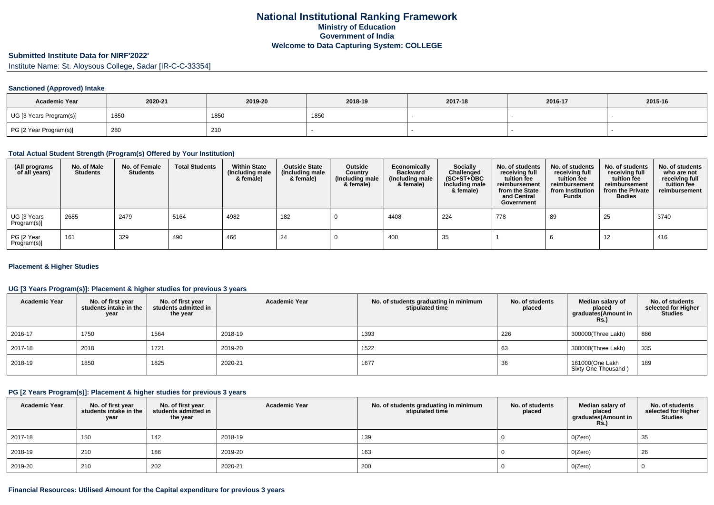### **Submitted Institute Data for NIRF'2022'**

Institute Name: St. Aloysous College, Sadar [IR-C-C-33354]

### **Sanctioned (Approved) Intake**

| <b>Academic Year</b>    | 2020-21 | 2019-20 | 2018-19 | 2017-18 | 2016-17 | 2015-16 |
|-------------------------|---------|---------|---------|---------|---------|---------|
| UG [3 Years Program(s)] | 185∪    | 1850    | 1850    |         |         |         |
| PG [2 Year Program(s)]  | 280     | 210     |         |         |         |         |

#### **Total Actual Student Strength (Program(s) Offered by Your Institution)**

| (All programs<br>of all years) | No. of Male<br><b>Students</b> | No. of Female<br>Students | <b>Total Students</b> | <b>Within State</b><br>(Including male<br>& female) | <b>Outside State</b><br>(Including male<br>& female) | Outside<br>Country<br>(Including male<br>& female) | Economically<br><b>Backward</b><br>(Including male<br>& female) | <b>Socially</b><br>Challenged<br>$(SC+ST+OBC)$<br>Including male<br>& female) | No. of students<br>receiving full<br>tuition fee<br>reimbursement<br>from the State<br>and Central<br>Government | No. of students<br>receiving full<br>tuition fee<br>reimbursement<br>from Institution<br><b>Funds</b> | No. of students<br>receiving full<br>tuition fee<br>reimbursement<br>from the Private<br><b>Bodies</b> | No. of students<br>who are not<br>receiving full<br>tuition fee<br>reimbursement |
|--------------------------------|--------------------------------|---------------------------|-----------------------|-----------------------------------------------------|------------------------------------------------------|----------------------------------------------------|-----------------------------------------------------------------|-------------------------------------------------------------------------------|------------------------------------------------------------------------------------------------------------------|-------------------------------------------------------------------------------------------------------|--------------------------------------------------------------------------------------------------------|----------------------------------------------------------------------------------|
| UG [3 Years<br>Program(s)]     | 2685                           | 2479                      | 5164                  | 4982                                                | 182                                                  |                                                    | 4408                                                            | 224                                                                           | 778                                                                                                              | 89                                                                                                    | 25                                                                                                     | 3740                                                                             |
| PG [2 Year<br>Program(s)]      | 161                            | 329                       | 490                   | 466                                                 | 24                                                   |                                                    | 400                                                             | 35                                                                            |                                                                                                                  |                                                                                                       | 12                                                                                                     | 416                                                                              |

### **Placement & Higher Studies**

### **UG [3 Years Program(s)]: Placement & higher studies for previous 3 years**

| <b>Academic Year</b> | No. of first year<br>students intake in the<br>year | No. of first vear<br>students admitted in<br>the year | <b>Academic Year</b> | No. of students graduating in minimum<br>stipulated time | No. of students<br>placed | Median salary of<br>placed<br>graduates(Amount in<br>Rs. | No. of students<br>selected for Higher<br><b>Studies</b> |
|----------------------|-----------------------------------------------------|-------------------------------------------------------|----------------------|----------------------------------------------------------|---------------------------|----------------------------------------------------------|----------------------------------------------------------|
| 2016-17              | 1750                                                | 1564                                                  | 2018-19              | 1393                                                     | 226                       | 300000(Three Lakh)                                       | 886                                                      |
| 2017-18              | 2010                                                | 1721                                                  | 2019-20              | 1522                                                     | 63                        | 300000(Three Lakh)                                       | 335                                                      |
| 2018-19              | 1850                                                | 1825                                                  | 2020-21              | 1677                                                     | 36                        | 161000(One Lakh<br>Sixty One Thousand)                   | 189                                                      |

#### **PG [2 Years Program(s)]: Placement & higher studies for previous 3 years**

| <b>Academic Year</b> | No. of first year<br>students intake in the<br>year | No. of first year<br>students admitted in<br>the year | <b>Academic Year</b> | No. of students graduating in minimum<br>stipulated time | No. of students<br>placed | Median salary of<br>placed<br>graduates(Amount in<br><b>Rs.)</b> | No. of students<br>selected for Higher<br><b>Studies</b> |
|----------------------|-----------------------------------------------------|-------------------------------------------------------|----------------------|----------------------------------------------------------|---------------------------|------------------------------------------------------------------|----------------------------------------------------------|
| 2017-18              | 150                                                 | 142                                                   | 2018-19              | 139                                                      |                           | O(Zero)                                                          | 35                                                       |
| 2018-19              | 210                                                 | 186                                                   | 2019-20              | 163                                                      |                           | O(Zero)                                                          | 26                                                       |
| 2019-20              | 210                                                 | 202                                                   | 2020-21              | 200                                                      |                           | O(Zero)                                                          |                                                          |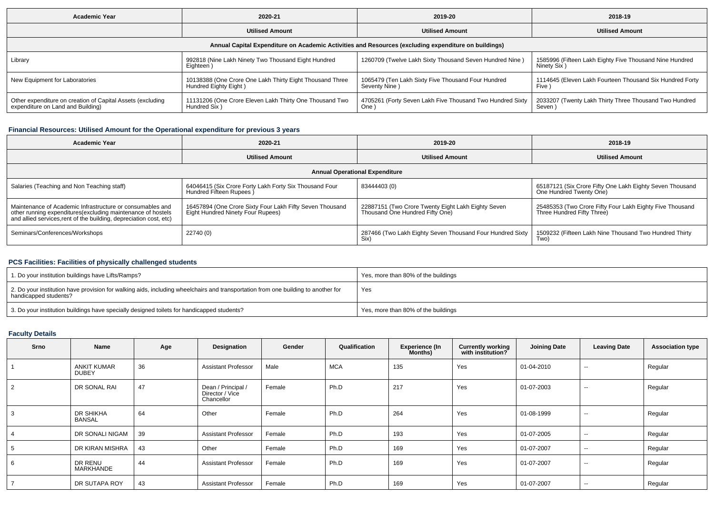| <b>Academic Year</b>                                                                            | 2020-21                                                                           |                                                                                                      | 2018-19                                                                 |
|-------------------------------------------------------------------------------------------------|-----------------------------------------------------------------------------------|------------------------------------------------------------------------------------------------------|-------------------------------------------------------------------------|
|                                                                                                 | <b>Utilised Amount</b>                                                            | <b>Utilised Amount</b>                                                                               |                                                                         |
|                                                                                                 |                                                                                   | Annual Capital Expenditure on Academic Activities and Resources (excluding expenditure on buildings) |                                                                         |
| Library                                                                                         | 992818 (Nine Lakh Ninety Two Thousand Eight Hundred<br>Eighteen)                  | 1260709 (Twelve Lakh Sixty Thousand Seven Hundred Nine)                                              | 1585996 (Fifteen Lakh Eighty Five Thousand Nine Hundred<br>Ninety Six)  |
| New Equipment for Laboratories                                                                  | 10138388 (One Crore One Lakh Thirty Eight Thousand Three<br>Hundred Eighty Eight) | 1065479 (Ten Lakh Sixty Five Thousand Four Hundred<br>Seventy Nine)                                  | 1114645 (Eleven Lakh Fourteen Thousand Six Hundred Forty<br><b>Five</b> |
| Other expenditure on creation of Capital Assets (excluding<br>expenditure on Land and Building) | 11131206 (One Crore Eleven Lakh Thirty One Thousand Two<br>Hundred Six)           | 4705261 (Forty Seven Lakh Five Thousand Two Hundred Sixty<br>One '                                   | 2033207 (Twenty Lakh Thirty Three Thousand Two Hundred<br>Seven)        |

### **Financial Resources: Utilised Amount for the Operational expenditure for previous 3 years**

| Academic Year                                                                                                                                                                                  | 2020-21                                                                                       | 2019-20                                                                               | 2018-19                                                                                |  |
|------------------------------------------------------------------------------------------------------------------------------------------------------------------------------------------------|-----------------------------------------------------------------------------------------------|---------------------------------------------------------------------------------------|----------------------------------------------------------------------------------------|--|
|                                                                                                                                                                                                | <b>Utilised Amount</b>                                                                        | <b>Utilised Amount</b>                                                                | <b>Utilised Amount</b>                                                                 |  |
|                                                                                                                                                                                                |                                                                                               | <b>Annual Operational Expenditure</b>                                                 |                                                                                        |  |
| Salaries (Teaching and Non Teaching staff)                                                                                                                                                     | 64046415 (Six Crore Forty Lakh Forty Six Thousand Four<br>Hundred Fifteen Rupees              | 83444403 (0)                                                                          | 65187121 (Six Crore Fifty One Lakh Eighty Seven Thousand<br>One Hundred Twenty One)    |  |
| Maintenance of Academic Infrastructure or consumables and<br>other running expenditures(excluding maintenance of hostels<br>and allied services, rent of the building, depreciation cost, etc) | 16457894 (One Crore Sixty Four Lakh Fifty Seven Thousand<br>Eight Hundred Ninety Four Rupees) | 22887151 (Two Crore Twenty Eight Lakh Eighty Seven<br>Thousand One Hundred Fifty One) | 25485353 (Two Crore Fifty Four Lakh Eighty Five Thousand<br>Three Hundred Fifty Three) |  |
| Seminars/Conferences/Workshops                                                                                                                                                                 | 22740 (0)                                                                                     | 287466 (Two Lakh Eighty Seven Thousand Four Hundred Sixty<br>Six)                     | 1509232 (Fifteen Lakh Nine Thousand Two Hundred Thirty<br>Two).                        |  |

# **PCS Facilities: Facilities of physically challenged students**

| 1. Do your institution buildings have Lifts/Ramps?                                                                                                         | Yes, more than 80% of the buildings |
|------------------------------------------------------------------------------------------------------------------------------------------------------------|-------------------------------------|
| 2. Do your institution have provision for walking aids, including wheelchairs and transportation from one building to another for<br>handicapped students? | Yes                                 |
| 3. Do your institution buildings have specially designed toilets for handicapped students?                                                                 | Yes, more than 80% of the buildings |

## **Faculty Details**

| Srno | Name                        | Age | Designation                                         | Gender | Qualification | <b>Experience (In</b><br><b>Months</b> ) | <b>Currently working</b><br>with institution? | <b>Joining Date</b> | <b>Leaving Date</b>      | <b>Association type</b> |
|------|-----------------------------|-----|-----------------------------------------------------|--------|---------------|------------------------------------------|-----------------------------------------------|---------------------|--------------------------|-------------------------|
|      | <b>ANKIT KUMAR</b><br>DUBEY | 36  | <b>Assistant Professor</b>                          | Male   | <b>MCA</b>    | 135                                      | Yes                                           | 01-04-2010          | $\overline{\phantom{a}}$ | Regular                 |
|      | DR SONAL RAI                | 47  | Dean / Principal /<br>Director / Vice<br>Chancellor | Female | Ph.D          | 217                                      | Yes                                           | 01-07-2003          | $\overline{\phantom{a}}$ | Regular                 |
|      | DR SHIKHA<br><b>BANSAL</b>  | 64  | Other                                               | Female | Ph.D          | 264                                      | Yes                                           | 01-08-1999          | $\overline{\phantom{a}}$ | Regular                 |
|      | DR SONALI NIGAM             | 39  | <b>Assistant Professor</b>                          | Female | Ph.D          | 193                                      | Yes                                           | 01-07-2005          | $\sim$                   | Regular                 |
|      | DR KIRAN MISHRA             | 43  | Other                                               | Female | Ph.D          | 169                                      | Yes                                           | 01-07-2007          | $\overline{\phantom{a}}$ | Regular                 |
|      | DR RENU<br>MARKHANDE        | 44  | <b>Assistant Professor</b>                          | Female | Ph.D          | 169                                      | Yes                                           | 01-07-2007          | $\overline{\phantom{a}}$ | Regular                 |
|      | DR SUTAPA ROY               | 43  | <b>Assistant Professor</b>                          | Female | Ph.D          | 169                                      | Yes                                           | 01-07-2007          | $\overline{\phantom{a}}$ | Regular                 |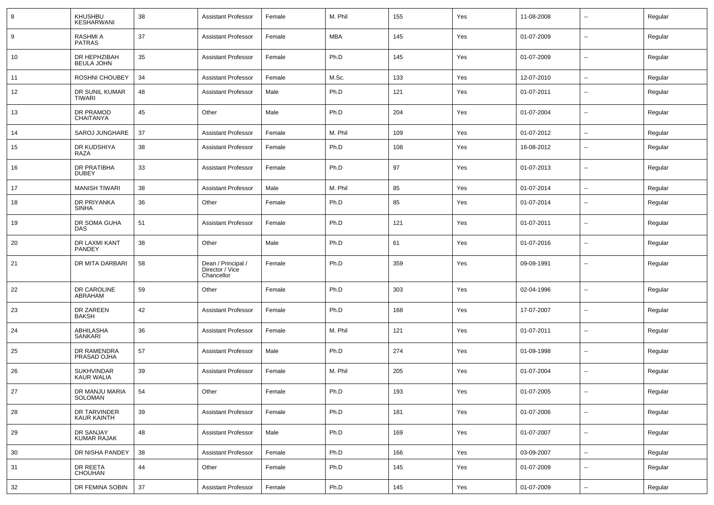| 8  | KHUSHBU<br>KESHARWANI                  | 38     | Assistant Professor                                 | Female | M. Phil    | 155 | Yes | 11-08-2008 | $\mathbf{u}$             | Regular |
|----|----------------------------------------|--------|-----------------------------------------------------|--------|------------|-----|-----|------------|--------------------------|---------|
| 9  | RASHMI A<br><b>PATRAS</b>              | 37     | <b>Assistant Professor</b>                          | Female | <b>MBA</b> | 145 | Yes | 01-07-2009 | $\sim$                   | Regular |
| 10 | DR HEPHZIBAH<br><b>BEULA JOHN</b>      | 35     | Assistant Professor                                 | Female | Ph.D       | 145 | Yes | 01-07-2009 | $\sim$                   | Regular |
| 11 | ROSHNI CHOUBEY                         | 34     | <b>Assistant Professor</b>                          | Female | M.Sc.      | 133 | Yes | 12-07-2010 | $\sim$                   | Regular |
| 12 | DR SUNIL KUMAR<br><b>TIWARI</b>        | 48     | <b>Assistant Professor</b>                          | Male   | Ph.D       | 121 | Yes | 01-07-2011 | --                       | Regular |
| 13 | DR PRAMOD<br><b>CHAITANYA</b>          | 45     | Other                                               | Male   | Ph.D       | 204 | Yes | 01-07-2004 | $\overline{\phantom{a}}$ | Regular |
| 14 | SAROJ JUNGHARE                         | 37     | <b>Assistant Professor</b>                          | Female | M. Phil    | 109 | Yes | 01-07-2012 | --                       | Regular |
| 15 | DR KUDSHIYA<br>RAZA                    | 38     | <b>Assistant Professor</b>                          | Female | Ph.D       | 108 | Yes | 16-08-2012 | $\overline{\phantom{a}}$ | Regular |
| 16 | DR PRATIBHA<br><b>DUBEY</b>            | 33     | <b>Assistant Professor</b>                          | Female | Ph.D       | 97  | Yes | 01-07-2013 | $\overline{\phantom{a}}$ | Regular |
| 17 | <b>MANISH TIWARI</b>                   | 38     | <b>Assistant Professor</b>                          | Male   | M. Phil    | 85  | Yes | 01-07-2014 | $\mathbf{u}$             | Regular |
| 18 | DR PRIYANKA<br><b>SINHA</b>            | 36     | Other                                               | Female | Ph.D       | 85  | Yes | 01-07-2014 | $\overline{\phantom{a}}$ | Regular |
| 19 | DR SOMA GUHA<br><b>DAS</b>             | 51     | <b>Assistant Professor</b>                          | Female | Ph.D       | 121 | Yes | 01-07-2011 | $\overline{a}$           | Regular |
| 20 | DR LAXMI KANT<br><b>PANDEY</b>         | 38     | Other                                               | Male   | Ph.D       | 61  | Yes | 01-07-2016 | $\overline{\phantom{a}}$ | Regular |
| 21 | DR MITA DARBARI                        | 58     | Dean / Principal /<br>Director / Vice<br>Chancellor | Female | Ph.D       | 359 | Yes | 09-09-1991 | $\overline{a}$           | Regular |
| 22 | DR CAROLINE<br>ABRAHAM                 | 59     | Other                                               | Female | Ph.D       | 303 | Yes | 02-04-1996 | --                       | Regular |
| 23 | DR ZAREEN<br><b>BAKSH</b>              | 42     | <b>Assistant Professor</b>                          | Female | Ph.D       | 168 | Yes | 17-07-2007 | $\mathbf{u}$             | Regular |
| 24 | ABHILASHA<br><b>SANKARI</b>            | 36     | <b>Assistant Professor</b>                          | Female | M. Phil    | 121 | Yes | 01-07-2011 | $\mathbf{u}$             | Regular |
| 25 | DR RAMENDRA<br>PRASAD OJHA             | 57     | <b>Assistant Professor</b>                          | Male   | Ph.D       | 274 | Yes | 01-09-1998 | $\sim$                   | Regular |
| 26 | <b>SUKHVINDAR</b><br><b>KAUR WALIA</b> | 39     | <b>Assistant Professor</b>                          | Female | M. Phil    | 205 | Yes | 01-07-2004 | $\mathbf{u}$             | Regular |
| 27 | DR MANJU MARIA<br>SOLOMAN              | 54     | Other                                               | Female | Ph.D       | 193 | Yes | 01-07-2005 | $\sim$                   | Regular |
| 28 | DR TARVINDER<br>KAUR KAINTH            | 39     | <b>Assistant Professor</b>                          | Female | Ph.D       | 181 | Yes | 01-07-2006 | $\overline{\phantom{a}}$ | Regular |
| 29 | DR SANJAY<br>KUMAR RAJAK               | 48     | <b>Assistant Professor</b>                          | Male   | Ph.D       | 169 | Yes | 01-07-2007 | $\overline{\phantom{a}}$ | Regular |
| 30 | DR NISHA PANDEY                        | 38     | <b>Assistant Professor</b>                          | Female | Ph.D       | 166 | Yes | 03-09-2007 | $\overline{\phantom{a}}$ | Regular |
| 31 | DR REETA<br>CHOUHAN                    | 44     | Other                                               | Female | Ph.D       | 145 | Yes | 01-07-2009 | $\sim$                   | Regular |
| 32 | DR FEMINA SOBIN                        | $37\,$ | <b>Assistant Professor</b>                          | Female | Ph.D       | 145 | Yes | 01-07-2009 | $\sim$                   | Regular |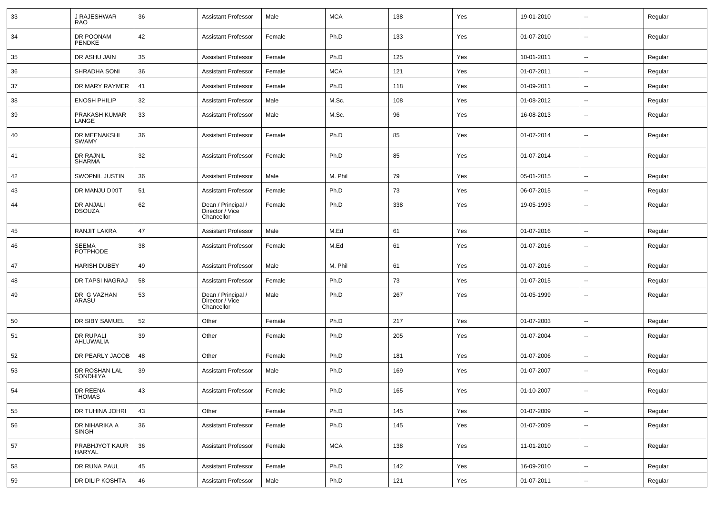| 33 | J RAJESHWAR<br>RAO                | 36 | <b>Assistant Professor</b>                          | Male   | <b>MCA</b> | 138 | Yes | 19-01-2010 | $\overline{\phantom{a}}$ | Regular |
|----|-----------------------------------|----|-----------------------------------------------------|--------|------------|-----|-----|------------|--------------------------|---------|
| 34 | DR POONAM<br><b>PENDKE</b>        | 42 | <b>Assistant Professor</b>                          | Female | Ph.D       | 133 | Yes | 01-07-2010 | $\sim$                   | Regular |
| 35 | DR ASHU JAIN                      | 35 | <b>Assistant Professor</b>                          | Female | Ph.D       | 125 | Yes | 10-01-2011 | $\sim$                   | Regular |
| 36 | SHRADHA SONI                      | 36 | <b>Assistant Professor</b>                          | Female | <b>MCA</b> | 121 | Yes | 01-07-2011 | $\sim$                   | Regular |
| 37 | DR MARY RAYMER                    | 41 | <b>Assistant Professor</b>                          | Female | Ph.D       | 118 | Yes | 01-09-2011 | $\overline{\phantom{a}}$ | Regular |
| 38 | <b>ENOSH PHILIP</b>               | 32 | <b>Assistant Professor</b>                          | Male   | M.Sc.      | 108 | Yes | 01-08-2012 | $\overline{\phantom{a}}$ | Regular |
| 39 | PRAKASH KUMAR<br>LANGE            | 33 | <b>Assistant Professor</b>                          | Male   | M.Sc.      | 96  | Yes | 16-08-2013 | $\overline{\phantom{a}}$ | Regular |
| 40 | DR MEENAKSHI<br><b>SWAMY</b>      | 36 | <b>Assistant Professor</b>                          | Female | Ph.D       | 85  | Yes | 01-07-2014 | --                       | Regular |
| 41 | DR RAJNIL<br><b>SHARMA</b>        | 32 | <b>Assistant Professor</b>                          | Female | Ph.D       | 85  | Yes | 01-07-2014 | --                       | Regular |
| 42 | SWOPNIL JUSTIN                    | 36 | <b>Assistant Professor</b>                          | Male   | M. Phil    | 79  | Yes | 05-01-2015 | $\mathbf{u}$             | Regular |
| 43 | DR MANJU DIXIT                    | 51 | <b>Assistant Professor</b>                          | Female | Ph.D       | 73  | Yes | 06-07-2015 | $\mathbf{u}$             | Regular |
| 44 | <b>DR ANJALI</b><br><b>DSOUZA</b> | 62 | Dean / Principal /<br>Director / Vice<br>Chancellor | Female | Ph.D       | 338 | Yes | 19-05-1993 | $\overline{\phantom{a}}$ | Regular |
| 45 | <b>RANJIT LAKRA</b>               | 47 | <b>Assistant Professor</b>                          | Male   | M.Ed       | 61  | Yes | 01-07-2016 | $\sim$                   | Regular |
| 46 | <b>SEEMA</b><br><b>POTPHODE</b>   | 38 | <b>Assistant Professor</b>                          | Female | M.Ed       | 61  | Yes | 01-07-2016 | $\overline{\phantom{a}}$ | Regular |
| 47 | <b>HARISH DUBEY</b>               | 49 | <b>Assistant Professor</b>                          | Male   | M. Phil    | 61  | Yes | 01-07-2016 | $\sim$                   | Regular |
| 48 | DR TAPSI NAGRAJ                   | 58 | <b>Assistant Professor</b>                          | Female | Ph.D       | 73  | Yes | 01-07-2015 | ۰.                       | Regular |
| 49 | DR G VAZHAN<br>ARASU              | 53 | Dean / Principal /<br>Director / Vice<br>Chancellor | Male   | Ph.D       | 267 | Yes | 01-05-1999 | $\overline{a}$           | Regular |
| 50 | DR SIBY SAMUEL                    | 52 | Other                                               | Female | Ph.D       | 217 | Yes | 01-07-2003 | --                       | Regular |
| 51 | DR RUPALI<br>AHLUWALIA            | 39 | Other                                               | Female | Ph.D       | 205 | Yes | 01-07-2004 | --                       | Regular |
| 52 | DR PEARLY JACOB                   | 48 | Other                                               | Female | Ph.D       | 181 | Yes | 01-07-2006 | $\sim$                   | Regular |
| 53 | DR ROSHAN LAL<br><b>SONDHIYA</b>  | 39 | <b>Assistant Professor</b>                          | Male   | Ph.D       | 169 | Yes | 01-07-2007 | $\overline{\phantom{a}}$ | Regular |
| 54 | DR REENA<br><b>THOMAS</b>         | 43 | Assistant Professor                                 | Female | Ph.D       | 165 | Yes | 01-10-2007 |                          | Regular |
| 55 | DR TUHINA JOHRI                   | 43 | Other                                               | Female | Ph.D       | 145 | Yes | 01-07-2009 | $\sim$                   | Regular |
| 56 | DR NIHARIKA A<br><b>SINGH</b>     | 36 | <b>Assistant Professor</b>                          | Female | Ph.D       | 145 | Yes | 01-07-2009 | $\overline{\phantom{a}}$ | Regular |
| 57 | PRABHJYOT KAUR<br>HARYAL          | 36 | <b>Assistant Professor</b>                          | Female | <b>MCA</b> | 138 | Yes | 11-01-2010 | Ξ.                       | Regular |
| 58 | DR RUNA PAUL                      | 45 | <b>Assistant Professor</b>                          | Female | Ph.D       | 142 | Yes | 16-09-2010 | Щ,                       | Regular |
| 59 | DR DILIP KOSHTA                   | 46 | <b>Assistant Professor</b>                          | Male   | Ph.D       | 121 | Yes | 01-07-2011 | $\sim$                   | Regular |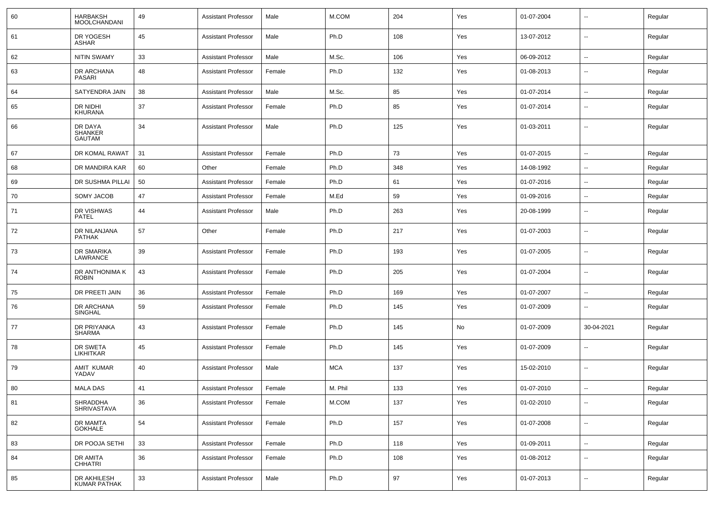| 60 | <b>HARBAKSH</b><br><b>MOOLCHANDANI</b>     | 49 | <b>Assistant Professor</b> | Male   | M.COM      | 204 | Yes | 01-07-2004 | $\sim$                   | Regular |
|----|--------------------------------------------|----|----------------------------|--------|------------|-----|-----|------------|--------------------------|---------|
| 61 | DR YOGESH<br>ASHAR                         | 45 | <b>Assistant Professor</b> | Male   | Ph.D       | 108 | Yes | 13-07-2012 | $\sim$                   | Regular |
| 62 | <b>NITIN SWAMY</b>                         | 33 | <b>Assistant Professor</b> | Male   | M.Sc.      | 106 | Yes | 06-09-2012 | $\sim$                   | Regular |
| 63 | DR ARCHANA<br>PASARI                       | 48 | <b>Assistant Professor</b> | Female | Ph.D       | 132 | Yes | 01-08-2013 | --                       | Regular |
| 64 | SATYENDRA JAIN                             | 38 | <b>Assistant Professor</b> | Male   | M.Sc.      | 85  | Yes | 01-07-2014 | $\overline{\phantom{a}}$ | Regular |
| 65 | DR NIDHI<br><b>KHURANA</b>                 | 37 | <b>Assistant Professor</b> | Female | Ph.D       | 85  | Yes | 01-07-2014 | $\overline{\phantom{a}}$ | Regular |
| 66 | DR DAYA<br><b>SHANKER</b><br><b>GAUTAM</b> | 34 | <b>Assistant Professor</b> | Male   | Ph.D       | 125 | Yes | 01-03-2011 | $\overline{\phantom{a}}$ | Regular |
| 67 | DR KOMAL RAWAT                             | 31 | <b>Assistant Professor</b> | Female | Ph.D       | 73  | Yes | 01-07-2015 | -−                       | Regular |
| 68 | DR MANDIRA KAR                             | 60 | Other                      | Female | Ph.D       | 348 | Yes | 14-08-1992 |                          | Regular |
| 69 | DR SUSHMA PILLAI                           | 50 | <b>Assistant Professor</b> | Female | Ph.D       | 61  | Yes | 01-07-2016 | $\overline{\phantom{a}}$ | Regular |
| 70 | <b>SOMY JACOB</b>                          | 47 | <b>Assistant Professor</b> | Female | M.Ed       | 59  | Yes | 01-09-2016 |                          | Regular |
| 71 | DR VISHWAS<br><b>PATEL</b>                 | 44 | <b>Assistant Professor</b> | Male   | Ph.D       | 263 | Yes | 20-08-1999 | $\overline{\phantom{a}}$ | Regular |
| 72 | DR NILANJANA<br><b>PATHAK</b>              | 57 | Other                      | Female | Ph.D       | 217 | Yes | 01-07-2003 | ۵.                       | Regular |
| 73 | DR SMARIKA<br>LAWRANCE                     | 39 | <b>Assistant Professor</b> | Female | Ph.D       | 193 | Yes | 01-07-2005 | ۵.                       | Regular |
| 74 | DR ANTHONIMA K<br><b>ROBIN</b>             | 43 | <b>Assistant Professor</b> | Female | Ph.D       | 205 | Yes | 01-07-2004 | $\overline{\phantom{a}}$ | Regular |
| 75 | DR PREETI JAIN                             | 36 | <b>Assistant Professor</b> | Female | Ph.D       | 169 | Yes | 01-07-2007 | $\sim$                   | Regular |
| 76 | DR ARCHANA<br>SINGHAL                      | 59 | <b>Assistant Professor</b> | Female | Ph.D       | 145 | Yes | 01-07-2009 | $\overline{\phantom{a}}$ | Regular |
| 77 | DR PRIYANKA<br><b>SHARMA</b>               | 43 | <b>Assistant Professor</b> | Female | Ph.D       | 145 | No  | 01-07-2009 | 30-04-2021               | Regular |
| 78 | DR SWETA<br><b>LIKHITKAR</b>               | 45 | <b>Assistant Professor</b> | Female | Ph.D       | 145 | Yes | 01-07-2009 | $\overline{\phantom{a}}$ | Regular |
| 79 | <b>AMIT KUMAR</b><br>YADAV                 | 40 | <b>Assistant Professor</b> | Male   | <b>MCA</b> | 137 | Yes | 15-02-2010 | ⊷.                       | Regular |
| 80 | <b>MALA DAS</b>                            | 41 | Assistant Professor        | Female | M. Phil    | 133 | Yes | 01-07-2010 | $\overline{\phantom{a}}$ | Regular |
| 81 | SHRADDHA<br>SHRIVASTAVA                    | 36 | Assistant Professor        | Female | M.COM      | 137 | Yes | 01-02-2010 | $\overline{\phantom{a}}$ | Regular |
| 82 | DR MAMTA<br><b>GOKHALE</b>                 | 54 | <b>Assistant Professor</b> | Female | Ph.D       | 157 | Yes | 01-07-2008 | $\sim$                   | Regular |
| 83 | DR POOJA SETHI                             | 33 | <b>Assistant Professor</b> | Female | Ph.D       | 118 | Yes | 01-09-2011 | $\overline{\phantom{a}}$ | Regular |
| 84 | DR AMITA<br>CHHATRI                        | 36 | <b>Assistant Professor</b> | Female | Ph.D       | 108 | Yes | 01-08-2012 | $\sim$                   | Regular |
| 85 | DR AKHILESH<br>KUMAR PATHAK                | 33 | <b>Assistant Professor</b> | Male   | Ph.D       | 97  | Yes | 01-07-2013 | $\sim$                   | Regular |